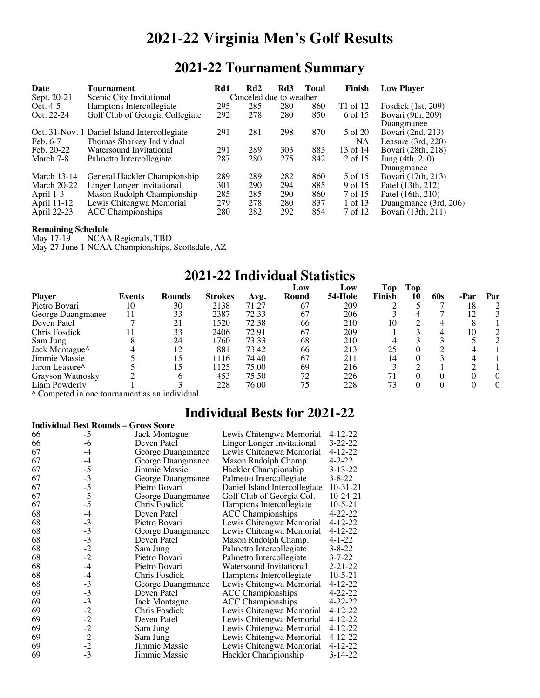# **2021-22 Virginia Men's Golf Results**

## **2021-22 Tournament Summary**

| Date               | Tournament                                   | Rd1 | Rd2                     | Rd3 | Total | Finish   | <b>Low Player</b>     |
|--------------------|----------------------------------------------|-----|-------------------------|-----|-------|----------|-----------------------|
| Sept. 20-21        | Scenic City Invitational                     |     | Canceled due to weather |     |       |          |                       |
| Oct. $4-5$         | Hamptons Intercollegiate                     | 295 | 285                     | 280 | 860   | T1 of 12 | Fosdick (1st, 209)    |
| Oct. 22-24         | Golf Club of Georgia Collegiate              | 292 | 278                     | 280 | 850   | 6 of 15  | Bovari (9th, 209)     |
|                    |                                              |     |                         |     |       |          | Duangmanee            |
|                    | Oct. 31-Nov. 1 Daniel Island Intercollegiate | 291 | 281                     | 298 | 870   | 5 of 20  | Bovari (2nd, 213)     |
| Feb. 6-7           | Thomas Sharkey Individual                    |     |                         |     |       | NA       | Leasure $(3rd, 220)$  |
| Feb. 20-22         | Watersound Invitational                      | 291 | 289                     | 303 | 883   | 13 of 14 | Bovari (28th, 218)    |
| March 7-8          | Palmetto Intercollegiate                     | 287 | 280                     | 275 | 842   | 2 of 15  | Jung (4th, 210)       |
|                    |                                              |     |                         |     |       |          | Duangmanee            |
| <b>March 13-14</b> | General Hackler Championship                 | 289 | 289                     | 282 | 860   | 5 of 15  | Bovari (17th, 213)    |
| <b>March 20-22</b> | Linger Longer Invitational                   | 301 | 290                     | 294 | 885   | 9 of 15  | Patel (13th, 212)     |
| April 1-3          | Mason Rudolph Championship                   | 285 | 285                     | 290 | 860   | 7 of 15  | Patel (16th, 210)     |
| April 11-12        | Lewis Chitengwa Memorial                     | 279 | 278                     | 280 | 837   | 1 of 13  | Duangmanee (3rd, 206) |
| April 22-23        | <b>ACC</b> Championships                     | 280 | 282                     | 292 | 854   | 7 of 12  | Bovari (13th, 211)    |
|                    |                                              |     |                         |     |       |          |                       |

# **Remaining Schedule**<br>May 17-19 NCAA

NCAA Regionals, TBD

May 27-June 1 NCAA Championships, Scottsdale, AZ

## **2021-22 Individual Statistics**

|                                                                      |        |                 |                |       | Low   | Low     | Top    | Top |     |    |     |
|----------------------------------------------------------------------|--------|-----------------|----------------|-------|-------|---------|--------|-----|-----|----|-----|
| <b>Player</b>                                                        | Events | <b>Rounds</b>   | <b>Strokes</b> | Avg.  | Round | 54-Hole | Finish | 10  | 60s |    | Par |
| Pietro Bovari                                                        | 10     | 30              | 2138           | 71.27 | 67    | 209     |        |     |     | 18 |     |
| George Duangmanee                                                    |        | 33              | 2387           | 72.33 | 67    | 206     |        |     |     | 12 |     |
| Deven Patel                                                          |        | 21              | 1520           | 72.38 | 66    | 210     | 10     |     |     |    |     |
| Chris Fosdick                                                        |        | 33              | 2406           | 72.91 | 67    | 209     |        |     |     | 10 |     |
| Sam Jung                                                             |        | 24              | 1760           | 73.33 | 68    | 210     | 4      |     |     |    |     |
|                                                                      |        |                 | 881            | 73.42 | 66    | 213     | 25     |     |     |    |     |
|                                                                      |        |                 | 1116           | 74.40 | 67    | 211     | 14     |     |     |    |     |
| Jaron Leasure <sup><math>\wedge</math></sup>                         |        |                 | 1125           | 75.00 | 69    | 216     |        |     |     |    |     |
|                                                                      |        |                 | 453            | 75.50 | 72    | 226     |        |     |     |    |     |
|                                                                      |        |                 | 228            | 76.00 | 75    | 228     | 73     |     |     |    | 0   |
| Jack Montague^<br>Jimmie Massie<br>Grayson Watnosky<br>Liam Powderly |        | $\cdot$ $\cdot$ |                |       |       |         |        |     |     |    |     |

^ Competed in one tournament as an individual

## **Individual Bests for 2021-22**

| <b>Individual Best Rounds - Gross Score</b> |                                              |                   |                               |               |  |
|---------------------------------------------|----------------------------------------------|-------------------|-------------------------------|---------------|--|
| 66                                          | -5                                           | Jack Montague     | Lewis Chitengwa Memorial      | 4-12-22       |  |
| 66                                          | -6                                           | Deven Patel       | Linger Longer Invitational    | $3 - 22 - 22$ |  |
| 67                                          | $-4$                                         | George Duangmanee | Lewis Chitengwa Memorial      | $4 - 12 - 22$ |  |
| 67                                          | $-4$                                         | George Duangmanee | Mason Rudolph Champ.          | $4 - 2 - 22$  |  |
| 67                                          | $-5$                                         | Jimmie Massie     | Hackler Championship          | $3 - 13 - 22$ |  |
| 67                                          | $-3$                                         | George Duangmanee | Palmetto Intercollegiate      | $3 - 8 - 22$  |  |
| 67                                          | $-5$                                         | Pietro Bovari     | Daniel Island Intercollegiate | $10-31-21$    |  |
| 67                                          | $-5$                                         | George Duangmanee | Golf Club of Georgia Col.     | $10-24-21$    |  |
| 67                                          | $-5$                                         | Chris Fosdick     | Hamptons Intercollegiate      | $10 - 5 - 21$ |  |
| 68                                          | $-4$                                         | Deven Patel       | <b>ACC</b> Championships      | $4 - 22 - 22$ |  |
| 68                                          | $-3$                                         | Pietro Bovari     | Lewis Chitengwa Memorial      | $4 - 12 - 22$ |  |
| 68                                          | $-3$                                         | George Duangmanee | Lewis Chitengwa Memorial      | $4 - 12 - 22$ |  |
| 68                                          | $-3$                                         | Deven Patel       | Mason Rudolph Champ.          | $4 - 1 - 22$  |  |
| 68                                          | $-2$<br>$-2$                                 | Sam Jung          | Palmetto Intercollegiate      | $3 - 8 - 22$  |  |
| 68                                          |                                              | Pietro Bovari     | Palmetto Intercollegiate      | $3 - 7 - 22$  |  |
| 68                                          | $-4$                                         | Pietro Bovari     | Watersound Invitational       | $2 - 21 - 22$ |  |
| 68                                          | $-4$                                         | Chris Fosdick     | Hamptons Intercollegiate      | $10-5-21$     |  |
| 68                                          | $-3$                                         | George Duangmanee | Lewis Chitengwa Memorial      | $4 - 12 - 22$ |  |
| 69                                          | $-3$                                         | Deven Patel       | <b>ACC Championships</b>      | $4 - 22 - 22$ |  |
| 69                                          |                                              | Jack Montague     | <b>ACC</b> Championships      | $4 - 22 - 22$ |  |
| 69                                          |                                              | Chris Fosdick     | Lewis Chitengwa Memorial      | $4 - 12 - 22$ |  |
| 69                                          |                                              | Deven Patel       | Lewis Chitengwa Memorial      | $4 - 12 - 22$ |  |
| 69                                          |                                              | Sam Jung          | Lewis Chitengwa Memorial      | $4 - 12 - 22$ |  |
| 69                                          | $-3$<br>$-2$<br>$-2$<br>$-2$<br>$-2$<br>$-2$ | Sam Jung          | Lewis Chitengwa Memorial      | $4 - 12 - 22$ |  |
| 69                                          |                                              | Jimmie Massie     | Lewis Chitengwa Memorial      | $4 - 12 - 22$ |  |
| 69                                          | $-3$                                         | Jimmie Massie     | Hackler Championship          | $3 - 14 - 22$ |  |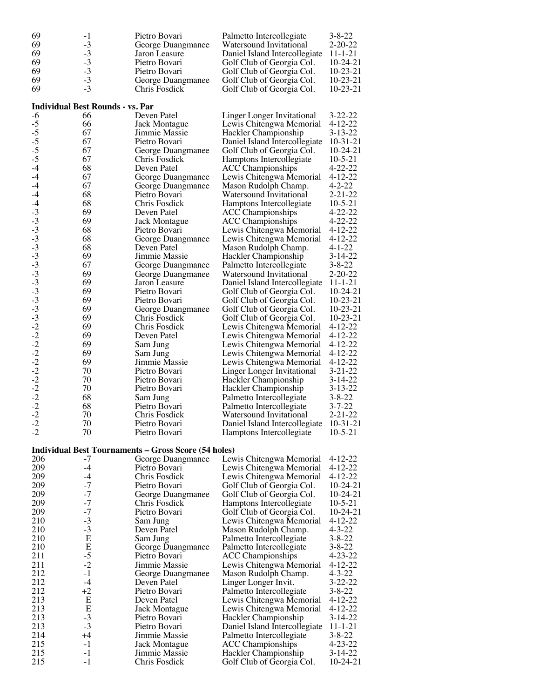| 69                                   | $-1$                                    | Pietro Bovari                                               | Palmetto Intercollegiate                              | $3 - 8 - 22$                   |
|--------------------------------------|-----------------------------------------|-------------------------------------------------------------|-------------------------------------------------------|--------------------------------|
| 69                                   | $-3$                                    | George Duangmanee                                           | Watersound Invitational                               | $2 - 20 - 22$                  |
| 69                                   | $-3$                                    | Jaron Leasure                                               | Daniel Island Intercollegiate                         | $11 - 1 - 21$                  |
| 69                                   | $-3$                                    | Pietro Bovari                                               | Golf Club of Georgia Col.                             | $10-24-21$                     |
| 69                                   | $-3$                                    | Pietro Bovari                                               | Golf Club of Georgia Col.                             | $10-23-21$                     |
| 69                                   | $-3$                                    | George Duangmanee                                           | Golf Club of Georgia Col.                             | $10-23-21$                     |
| 69                                   | $-3$                                    | Chris Fosdick                                               | Golf Club of Georgia Col.                             | $10-23-21$                     |
|                                      | <b>Individual Best Rounds - vs. Par</b> |                                                             |                                                       |                                |
| $-6$                                 | 66                                      | Deven Patel                                                 | Linger Longer Invitational                            | $3 - 22 - 22$                  |
|                                      | 66                                      | Jack Montague                                               | Lewis Chitengwa Memorial                              | $4 - 12 - 22$                  |
|                                      | 67                                      | Jimmie Massie                                               | Hackler Championship                                  | $3 - 13 - 22$                  |
|                                      | 67                                      | Pietro Bovari                                               | Daniel Island Intercollegiate                         | $10-31-21$                     |
| $-5$<br>$-5$<br>$-5$<br>$-5$<br>$-5$ | 67                                      | George Duangmanee                                           | Golf Club of Georgia Col.                             | $10-24-21$                     |
|                                      | 67                                      | Chris Fosdick                                               | Hamptons Intercollegiate                              | $10-5-21$                      |
| $-4$                                 | 68                                      | Deven Patel                                                 | <b>ACC Championships</b>                              | $4 - 22 - 22$                  |
| $-4$                                 | 67                                      | George Duangmanee                                           | Lewis Chitengwa Memorial                              | $4 - 12 - 22$                  |
| $-4$                                 | 67                                      | George Duangmanee                                           | Mason Rudolph Champ.                                  | $4 - 2 - 22$                   |
| $-4$                                 | 68                                      | Pietro Bovari                                               | Watersound Invitational                               | $2 - 21 - 22$                  |
| $-4$                                 | 68                                      | Chris Fosdick                                               | Hamptons Intercollegiate                              | $10-5-21$                      |
| $-3$                                 | 69                                      | Deven Patel                                                 | <b>ACC</b> Championships                              | $4 - 22 - 22$                  |
|                                      | 69                                      | Jack Montague                                               | <b>ACC</b> Championships                              | $4 - 22 - 22$                  |
|                                      | 68                                      | Pietro Bovari                                               | Lewis Chitengwa Memorial                              | $4 - 12 - 22$                  |
|                                      | 68                                      | George Duangmanee                                           | Lewis Chitengwa Memorial                              | $4 - 12 - 22$                  |
|                                      | 68                                      | Deven Patel                                                 | Mason Rudolph Champ.                                  | $4 - 1 - 22$                   |
|                                      | 69                                      | Jimmie Massie                                               | Hackler Championship                                  | 3-14-22                        |
|                                      | 67                                      | George Duangmanee                                           | Palmetto Intercollegiate                              | $3 - 8 - 22$                   |
|                                      | 69                                      | George Duangmanee                                           | Watersound Invitational                               | $2 - 20 - 22$                  |
|                                      | 69                                      | Jaron Leasure                                               | Daniel Island Intercollegiate                         | $11 - 1 - 21$                  |
|                                      | 69                                      | Pietro Bovari                                               | Golf Club of Georgia Col.                             | $10-24-21$                     |
|                                      | 69                                      | Pietro Bovari                                               | Golf Club of Georgia Col.                             | $10-23-21$                     |
|                                      | 69<br>69                                | George Duangmanee<br>Chris Fosdick                          | Golf Club of Georgia Col.                             | $10-23-21$<br>$10-23-21$       |
|                                      | 69                                      | Chris Fosdick                                               | Golf Club of Georgia Col.<br>Lewis Chitengwa Memorial | $4 - 12 - 22$                  |
|                                      | 69                                      | Deven Patel                                                 | Lewis Chitengwa Memorial                              | $4 - 12 - 22$                  |
|                                      | 69                                      | Sam Jung                                                    | Lewis Chitengwa Memorial                              | $4 - 12 - 22$                  |
|                                      | 69                                      | Sam Jung                                                    | Lewis Chitengwa Memorial                              | $4 - 12 - 22$                  |
|                                      | 69                                      | Jimmie Massie                                               | Lewis Chitengwa Memorial                              | $4 - 12 - 22$                  |
|                                      | 70                                      | Pietro Bovari                                               | Linger Longer Invitational                            | $3 - 21 - 22$                  |
|                                      | 70                                      | Pietro Bovari                                               | Hackler Championship                                  | 3-14-22                        |
|                                      | 70                                      | Pietro Bovari                                               | Hackler Championship                                  | $3 - 13 - 22$                  |
|                                      | 68                                      | Sam Jung                                                    | Palmetto Intercollegiate                              | $3 - 8 - 22$                   |
|                                      | 68                                      | Pietro Bovari                                               | Palmetto Intercollegiate                              | $3 - 7 - 22$                   |
|                                      | 70                                      | Chris Fosdick                                               | Watersound Invitational                               | 2-21-22                        |
| $-2$                                 | 70                                      | Pietro Bovari                                               | Daniel Island Intercollegiate                         | $10-31-21$                     |
| $-2$                                 | 70                                      | Pietro Bovari                                               | Hamptons Intercollegiate                              | $10 - 5 - 21$                  |
|                                      |                                         | <b>Individual Best Tournaments - Gross Score (54 holes)</b> |                                                       |                                |
| 206                                  | -7                                      | George Duangmanee                                           | Lewis Chitengwa Memorial                              | $4 - 12 - 22$                  |
| 209                                  | $-4$                                    | Pietro Bovari                                               | Lewis Chitengwa Memorial                              | $4 - 12 - 22$                  |
| 209                                  | -4                                      | Chris Fosdick                                               | Lewis Chitengwa Memorial                              | $4 - 12 - 22$                  |
| 209                                  | $-7$                                    | Pietro Bovari                                               | Golf Club of Georgia Col.                             | $10-24-21$                     |
| 209                                  | $-7$                                    | George Duangmanee                                           | Golf Club of Georgia Col.                             | $10-24-21$                     |
| 209                                  | $-7$                                    | Chris Fosdick                                               | Hamptons Intercollegiate                              | $10-5-21$                      |
| 209                                  | $-7$                                    | Pietro Bovari                                               | Golf Club of Georgia Col.                             | $10-24-21$                     |
| 210                                  | $-3$                                    | Sam Jung                                                    | Lewis Chitengwa Memorial                              | $4 - 12 - 22$                  |
| 210                                  | $-3$                                    | Deven Patel                                                 | Mason Rudolph Champ.                                  | $4 - 3 - 22$                   |
| 210                                  | E                                       | Sam Jung                                                    | Palmetto Intercollegiate                              | $3 - 8 - 22$                   |
| 210                                  | E                                       | George Duangmanee                                           | Palmetto Intercollegiate                              | $3 - 8 - 22$                   |
| 211                                  | $-5$                                    | Pietro Bovari                                               | <b>ACC</b> Championships                              | $4 - 23 - 22$                  |
| 211                                  | $-2$                                    | Jimmie Massie                                               | Lewis Chitengwa Memorial                              | $4 - 12 - 22$                  |
| 212                                  | $-1$                                    | George Duangmanee                                           | Mason Rudolph Champ.                                  | $4 - 3 - 22$                   |
| 212                                  | $-4$                                    | Deven Patel                                                 | Linger Longer Invit.                                  | $3 - 22 - 22$                  |
| 212                                  | $+2$                                    | Pietro Bovari                                               | Palmetto Intercollegiate                              | $3 - 8 - 22$                   |
| 213<br>213                           | Е<br>E                                  | Deven Patel                                                 | Lewis Chitengwa Memorial                              | $4 - 12 - 22$                  |
| 213                                  | $-3$                                    | <b>Jack Montague</b><br>Pietro Bovari                       | Lewis Chitengwa Memorial                              | $4 - 12 - 22$<br>$3 - 14 - 22$ |
| 213                                  | $-3$                                    | Pietro Bovari                                               | Hackler Championship<br>Daniel Island Intercollegiate | $11 - 1 - 21$                  |
| 214                                  | $+4$                                    | Jimmie Massie                                               | Palmetto Intercollegiate                              | $3 - 8 - 22$                   |
| 215                                  | $-1$                                    | Jack Montague                                               | <b>ACC</b> Championships                              | $4 - 23 - 22$                  |
| 215                                  | -1                                      | Jimmie Massie                                               | Hackler Championship                                  | $3 - 14 - 22$                  |
| 215                                  | $-1$                                    | Chris Fosdick                                               | Golf Club of Georgia Col.                             | $10-24-21$                     |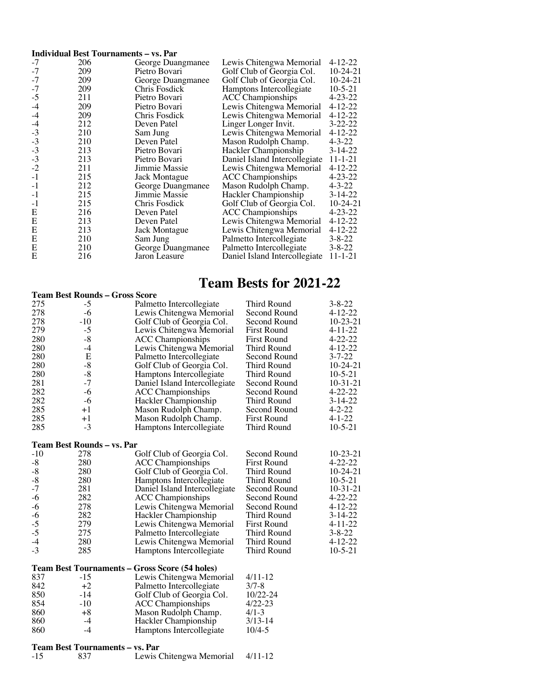#### **Individual Best Tournaments – vs. Par**

| $-7$ | 206 | George Duangmanee | Lewis Chitengwa Memorial      | $4 - 12 - 22$ |
|------|-----|-------------------|-------------------------------|---------------|
| $-7$ | 209 | Pietro Bovari     | Golf Club of Georgia Col.     | $10-24-21$    |
| $-7$ | 209 | George Duangmanee | Golf Club of Georgia Col.     | $10-24-21$    |
| $-7$ | 209 | Chris Fosdick     | Hamptons Intercollegiate      | $10 - 5 - 21$ |
| $-5$ | 211 | Pietro Bovari     | <b>ACC</b> Championships      | $4 - 23 - 22$ |
| $-4$ | 209 | Pietro Bovari     | Lewis Chitengwa Memorial      | $4 - 12 - 22$ |
| $-4$ | 209 | Chris Fosdick     | Lewis Chitengwa Memorial      | $4 - 12 - 22$ |
| $-4$ | 212 | Deven Patel       | Linger Longer Invit.          | $3 - 22 - 22$ |
| $-3$ | 210 | Sam Jung          | Lewis Chitengwa Memorial      | $4 - 12 - 22$ |
| $-3$ | 210 | Deven Patel       | Mason Rudolph Champ.          | $4 - 3 - 22$  |
| $-3$ | 213 | Pietro Bovari     | Hackler Championship          | $3 - 14 - 22$ |
| $-3$ | 213 | Pietro Bovari     | Daniel Island Intercollegiate | 11-1-21       |
| $-2$ | 211 | Jimmie Massie     | Lewis Chitengwa Memorial      | $4 - 12 - 22$ |
| $-1$ | 215 | Jack Montague     | <b>ACC</b> Championships      | $4 - 23 - 22$ |
| $-1$ | 212 | George Duangmanee | Mason Rudolph Champ.          | $4 - 3 - 22$  |
| $-1$ | 215 | Jimmie Massie     | Hackler Championship          | $3 - 14 - 22$ |
| $-1$ | 215 | Chris Fosdick     | Golf Club of Georgia Col.     | $10-24-21$    |
| Е    | 216 | Deven Patel       | <b>ACC</b> Championships      | $4 - 23 - 22$ |
| E    | 213 | Deven Patel       | Lewis Chitengwa Memorial      | $4 - 12 - 22$ |
| E    | 213 | Jack Montague     | Lewis Chitengwa Memorial      | $4 - 12 - 22$ |
| E    | 210 | Sam Jung          | Palmetto Intercollegiate      | $3 - 8 - 22$  |
| E    | 210 | George Duangmanee | Palmetto Intercollegiate      | $3 - 8 - 22$  |
| E    | 216 | Jaron Leasure     | Daniel Island Intercollegiate | 11-1-21       |
|      |     |                   |                               |               |

#### **Team Bests for 2021-22**

#### **Team Best Rounds – Gross Score**

| 275         | -5                         | Palmetto Intercollegiate                       | Third Round        | $3 - 8 - 22$   |
|-------------|----------------------------|------------------------------------------------|--------------------|----------------|
| 278         | $-6$                       | Lewis Chitengwa Memorial                       | Second Round       | $4 - 12 - 22$  |
| 278         | $-10$                      | Golf Club of Georgia Col.                      | Second Round       | $10 - 23 - 21$ |
| 279         | $-5$                       | Lewis Chitengwa Memorial                       | <b>First Round</b> | $4 - 11 - 22$  |
| 280         | $\mbox{-}8$                | <b>ACC Championships</b>                       | <b>First Round</b> | $4 - 22 - 22$  |
| 280         | $-4$                       | Lewis Chitengwa Memorial                       | Third Round        | $4 - 12 - 22$  |
| 280         | E                          | Palmetto Intercollegiate                       | Second Round       | $3 - 7 - 22$   |
| 280         | $-8$                       | Golf Club of Georgia Col.                      | Third Round        | $10-24-21$     |
| 280         | $\mbox{-}8$                | Hamptons Intercollegiate                       | Third Round        | $10 - 5 - 21$  |
| 281         | $-7$                       | Daniel Island Intercollegiate                  | Second Round       | $10-31-21$     |
| 282         | $-6$                       | <b>ACC</b> Championships                       | Second Round       | $4 - 22 - 22$  |
| 282         | $-6$                       | Hackler Championship                           | Third Round        | $3 - 14 - 22$  |
| 285         | $+1$                       | Mason Rudolph Champ.                           | Second Round       | $4 - 2 - 22$   |
| 285         | $+1$                       | Mason Rudolph Champ.                           | <b>First Round</b> | $4 - 1 - 22$   |
| 285         | $-3$                       | Hamptons Intercollegiate                       | Third Round        | $10 - 5 - 21$  |
|             | Team Best Rounds – vs. Par |                                                |                    |                |
| $-10$       | 278                        | Golf Club of Georgia Col.                      | Second Round       | $10 - 23 - 21$ |
| $-8$        | 280                        | <b>ACC</b> Championships                       | <b>First Round</b> | $4 - 22 - 22$  |
| $\mbox{-}8$ | 280                        | Golf Club of Georgia Col.                      | Third Round        | $10-24-21$     |
| $\mbox{-}8$ | 280                        | Hamptons Intercollegiate                       | Third Round        | $10 - 5 - 21$  |
| $-7$        | 281                        | Daniel Island Intercollegiate                  | Second Round       | $10-31-21$     |
| $-6$        | 282                        | <b>ACC Championships</b>                       | Second Round       | $4 - 22 - 22$  |
| $-6$        | 278                        | Lewis Chitengwa Memorial                       | Second Round       | $4 - 12 - 22$  |
| $-6$        | 282                        | Hackler Championship                           | Third Round        | $3 - 14 - 22$  |
| $-5$        | 279                        | Lewis Chitengwa Memorial                       | <b>First Round</b> | $4 - 11 - 22$  |
| $-5$        | 275                        | Palmetto Intercollegiate                       | Third Round        | $3 - 8 - 22$   |
| $-4$        | 280                        | Lewis Chitengwa Memorial                       | Third Round        | $4 - 12 - 22$  |
| $-3$        | 285                        | Hamptons Intercollegiate                       | Third Round        | $10 - 5 - 21$  |
|             |                            | Team Best Tournaments - Gross Score (54 holes) |                    |                |
| 837         | -15                        | Lewis Chitengwa Memorial                       | $4/11-12$          |                |
| 842         | $+2$                       | Palmetto Intercollegiate                       | $3/7 - 8$          |                |
| 850         | -14                        | Golf Club of Georgia Col.                      | $10/22 - 24$       |                |
| 854         | $-10$                      | <b>ACC</b> Championships                       | $4/22 - 23$        |                |
| 860         | $+8$                       | Mason Rudolph Champ.                           | $4/1 - 3$          |                |

|       | Team Best Tournaments – vs. Par |                                  |  |
|-------|---------------------------------|----------------------------------|--|
| $-15$ | -837                            | Lewis Chitengwa Memorial 4/11-12 |  |

860 -4 Hackler Championship 3/13-14 860 -4 Hamptons Intercollegiate 10/4-5